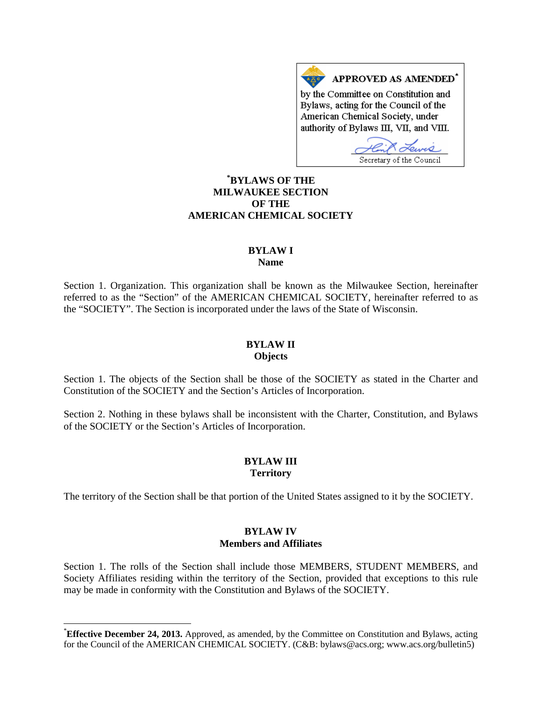APPROVED AS AMENDED<sup>\*</sup> by the Committee on Constitution and Bylaws, acting for the Council of the American Chemical Society, under authority of Bylaws III, VII, and VIII.

Secretary of the Council

# **[\\*](#page-0-0) BYLAWS OF THE MILWAUKEE SECTION OF THE AMERICAN CHEMICAL SOCIETY**

## **BYLAW I Name**

Section 1. Organization. This organization shall be known as the Milwaukee Section, hereinafter referred to as the "Section" of the AMERICAN CHEMICAL SOCIETY, hereinafter referred to as the "SOCIETY". The Section is incorporated under the laws of the State of Wisconsin.

## **BYLAW II Objects**

Section 1. The objects of the Section shall be those of the SOCIETY as stated in the Charter and Constitution of the SOCIETY and the Section's Articles of Incorporation.

Section 2. Nothing in these bylaws shall be inconsistent with the Charter, Constitution, and Bylaws of the SOCIETY or the Section's Articles of Incorporation.

# **BYLAW III Territory**

The territory of the Section shall be that portion of the United States assigned to it by the SOCIETY.

## **BYLAW IV Members and Affiliates**

Section 1. The rolls of the Section shall include those MEMBERS, STUDENT MEMBERS, and Society Affiliates residing within the territory of the Section, provided that exceptions to this rule may be made in conformity with the Constitution and Bylaws of the SOCIETY.

<span id="page-0-0"></span> <sup>\*</sup> **Effective December 24, 2013.** Approved, as amended, by the Committee on Constitution and Bylaws, acting for the Council of the AMERICAN CHEMICAL SOCIETY. (C&B: bylaws@acs.org; www.acs.org/bulletin5)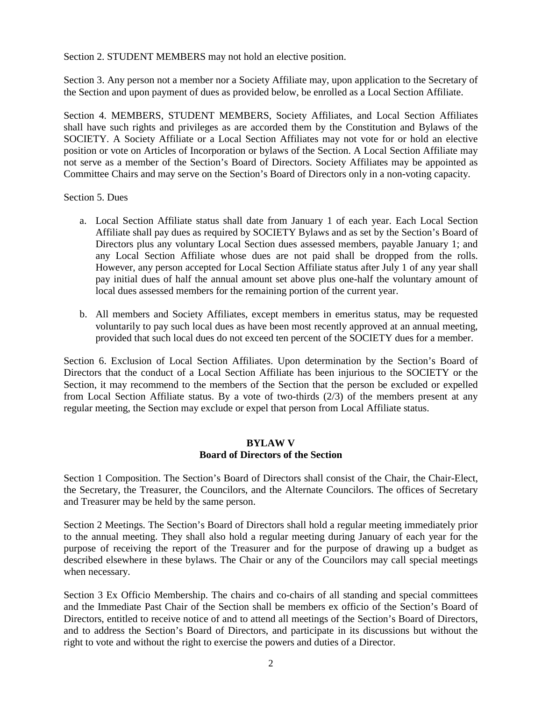Section 2. STUDENT MEMBERS may not hold an elective position.

Section 3. Any person not a member nor a Society Affiliate may, upon application to the Secretary of the Section and upon payment of dues as provided below, be enrolled as a Local Section Affiliate.

Section 4. MEMBERS, STUDENT MEMBERS, Society Affiliates, and Local Section Affiliates shall have such rights and privileges as are accorded them by the Constitution and Bylaws of the SOCIETY. A Society Affiliate or a Local Section Affiliates may not vote for or hold an elective position or vote on Articles of Incorporation or bylaws of the Section. A Local Section Affiliate may not serve as a member of the Section's Board of Directors. Society Affiliates may be appointed as Committee Chairs and may serve on the Section's Board of Directors only in a non-voting capacity.

Section 5. Dues

- a. Local Section Affiliate status shall date from January 1 of each year. Each Local Section Affiliate shall pay dues as required by SOCIETY Bylaws and as set by the Section's Board of Directors plus any voluntary Local Section dues assessed members, payable January 1; and any Local Section Affiliate whose dues are not paid shall be dropped from the rolls. However, any person accepted for Local Section Affiliate status after July 1 of any year shall pay initial dues of half the annual amount set above plus one-half the voluntary amount of local dues assessed members for the remaining portion of the current year.
- b. All members and Society Affiliates, except members in emeritus status, may be requested voluntarily to pay such local dues as have been most recently approved at an annual meeting, provided that such local dues do not exceed ten percent of the SOCIETY dues for a member.

Section 6. Exclusion of Local Section Affiliates. Upon determination by the Section's Board of Directors that the conduct of a Local Section Affiliate has been injurious to the SOCIETY or the Section, it may recommend to the members of the Section that the person be excluded or expelled from Local Section Affiliate status. By a vote of two-thirds (2/3) of the members present at any regular meeting, the Section may exclude or expel that person from Local Affiliate status.

## **BYLAW V Board of Directors of the Section**

Section 1 Composition. The Section's Board of Directors shall consist of the Chair, the Chair-Elect, the Secretary, the Treasurer, the Councilors, and the Alternate Councilors. The offices of Secretary and Treasurer may be held by the same person.

Section 2 Meetings. The Section's Board of Directors shall hold a regular meeting immediately prior to the annual meeting. They shall also hold a regular meeting during January of each year for the purpose of receiving the report of the Treasurer and for the purpose of drawing up a budget as described elsewhere in these bylaws. The Chair or any of the Councilors may call special meetings when necessary.

Section 3 Ex Officio Membership. The chairs and co-chairs of all standing and special committees and the Immediate Past Chair of the Section shall be members ex officio of the Section's Board of Directors, entitled to receive notice of and to attend all meetings of the Section's Board of Directors, and to address the Section's Board of Directors, and participate in its discussions but without the right to vote and without the right to exercise the powers and duties of a Director.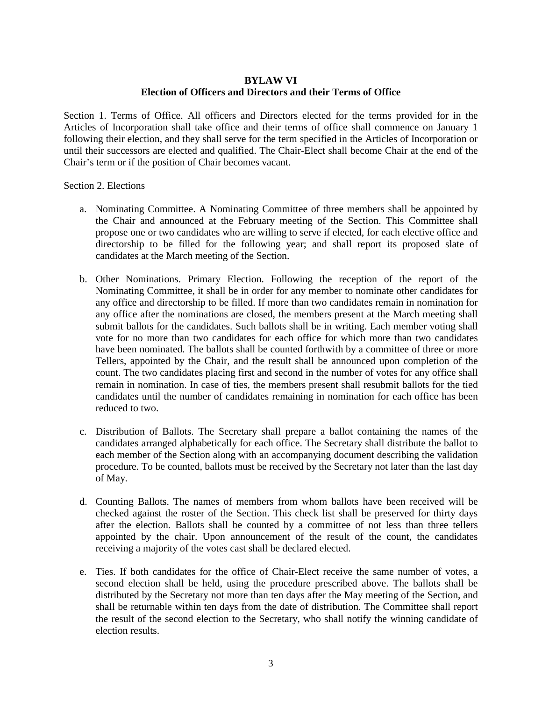## **BYLAW VI Election of Officers and Directors and their Terms of Office**

Section 1. Terms of Office. All officers and Directors elected for the terms provided for in the Articles of Incorporation shall take office and their terms of office shall commence on January 1 following their election, and they shall serve for the term specified in the Articles of Incorporation or until their successors are elected and qualified. The Chair-Elect shall become Chair at the end of the Chair's term or if the position of Chair becomes vacant.

Section 2. Elections

- a. Nominating Committee. A Nominating Committee of three members shall be appointed by the Chair and announced at the February meeting of the Section. This Committee shall propose one or two candidates who are willing to serve if elected, for each elective office and directorship to be filled for the following year; and shall report its proposed slate of candidates at the March meeting of the Section.
- b. Other Nominations. Primary Election. Following the reception of the report of the Nominating Committee, it shall be in order for any member to nominate other candidates for any office and directorship to be filled. If more than two candidates remain in nomination for any office after the nominations are closed, the members present at the March meeting shall submit ballots for the candidates. Such ballots shall be in writing. Each member voting shall vote for no more than two candidates for each office for which more than two candidates have been nominated. The ballots shall be counted forthwith by a committee of three or more Tellers, appointed by the Chair, and the result shall be announced upon completion of the count. The two candidates placing first and second in the number of votes for any office shall remain in nomination. In case of ties, the members present shall resubmit ballots for the tied candidates until the number of candidates remaining in nomination for each office has been reduced to two.
- c. Distribution of Ballots. The Secretary shall prepare a ballot containing the names of the candidates arranged alphabetically for each office. The Secretary shall distribute the ballot to each member of the Section along with an accompanying document describing the validation procedure. To be counted, ballots must be received by the Secretary not later than the last day of May.
- d. Counting Ballots. The names of members from whom ballots have been received will be checked against the roster of the Section. This check list shall be preserved for thirty days after the election. Ballots shall be counted by a committee of not less than three tellers appointed by the chair. Upon announcement of the result of the count, the candidates receiving a majority of the votes cast shall be declared elected.
- e. Ties. If both candidates for the office of Chair-Elect receive the same number of votes, a second election shall be held, using the procedure prescribed above. The ballots shall be distributed by the Secretary not more than ten days after the May meeting of the Section, and shall be returnable within ten days from the date of distribution. The Committee shall report the result of the second election to the Secretary, who shall notify the winning candidate of election results.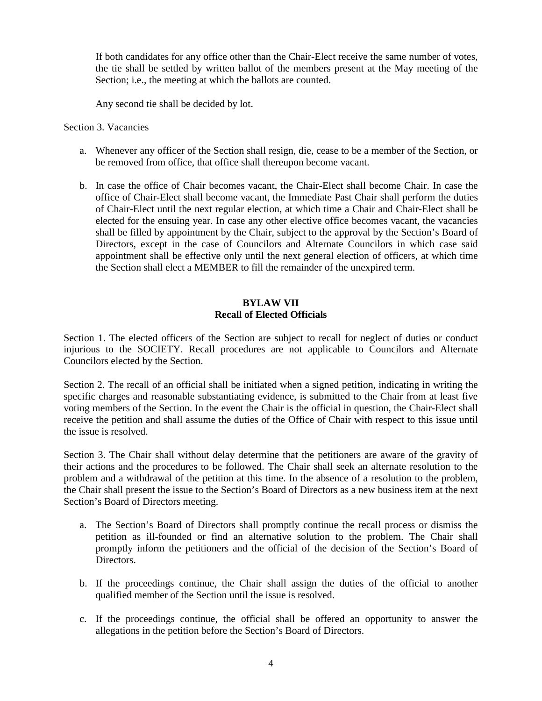If both candidates for any office other than the Chair-Elect receive the same number of votes, the tie shall be settled by written ballot of the members present at the May meeting of the Section; i.e., the meeting at which the ballots are counted.

Any second tie shall be decided by lot.

#### Section 3. Vacancies

- a. Whenever any officer of the Section shall resign, die, cease to be a member of the Section, or be removed from office, that office shall thereupon become vacant.
- b. In case the office of Chair becomes vacant, the Chair-Elect shall become Chair. In case the office of Chair-Elect shall become vacant, the Immediate Past Chair shall perform the duties of Chair-Elect until the next regular election, at which time a Chair and Chair-Elect shall be elected for the ensuing year. In case any other elective office becomes vacant, the vacancies shall be filled by appointment by the Chair, subject to the approval by the Section's Board of Directors, except in the case of Councilors and Alternate Councilors in which case said appointment shall be effective only until the next general election of officers, at which time the Section shall elect a MEMBER to fill the remainder of the unexpired term.

# **BYLAW VII Recall of Elected Officials**

Section 1. The elected officers of the Section are subject to recall for neglect of duties or conduct injurious to the SOCIETY. Recall procedures are not applicable to Councilors and Alternate Councilors elected by the Section.

Section 2. The recall of an official shall be initiated when a signed petition, indicating in writing the specific charges and reasonable substantiating evidence, is submitted to the Chair from at least five voting members of the Section. In the event the Chair is the official in question, the Chair-Elect shall receive the petition and shall assume the duties of the Office of Chair with respect to this issue until the issue is resolved.

Section 3. The Chair shall without delay determine that the petitioners are aware of the gravity of their actions and the procedures to be followed. The Chair shall seek an alternate resolution to the problem and a withdrawal of the petition at this time. In the absence of a resolution to the problem, the Chair shall present the issue to the Section's Board of Directors as a new business item at the next Section's Board of Directors meeting.

- a. The Section's Board of Directors shall promptly continue the recall process or dismiss the petition as ill-founded or find an alternative solution to the problem. The Chair shall promptly inform the petitioners and the official of the decision of the Section's Board of Directors.
- b. If the proceedings continue, the Chair shall assign the duties of the official to another qualified member of the Section until the issue is resolved.
- c. If the proceedings continue, the official shall be offered an opportunity to answer the allegations in the petition before the Section's Board of Directors.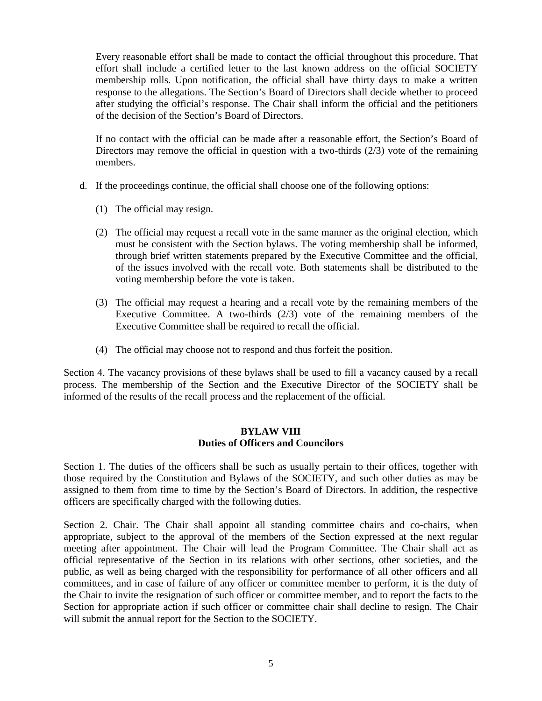Every reasonable effort shall be made to contact the official throughout this procedure. That effort shall include a certified letter to the last known address on the official SOCIETY membership rolls. Upon notification, the official shall have thirty days to make a written response to the allegations. The Section's Board of Directors shall decide whether to proceed after studying the official's response. The Chair shall inform the official and the petitioners of the decision of the Section's Board of Directors.

If no contact with the official can be made after a reasonable effort, the Section's Board of Directors may remove the official in question with a two-thirds (2/3) vote of the remaining members.

- d. If the proceedings continue, the official shall choose one of the following options:
	- (1) The official may resign.
	- (2) The official may request a recall vote in the same manner as the original election, which must be consistent with the Section bylaws. The voting membership shall be informed, through brief written statements prepared by the Executive Committee and the official, of the issues involved with the recall vote. Both statements shall be distributed to the voting membership before the vote is taken.
	- (3) The official may request a hearing and a recall vote by the remaining members of the Executive Committee. A two-thirds (2/3) vote of the remaining members of the Executive Committee shall be required to recall the official.
	- (4) The official may choose not to respond and thus forfeit the position.

Section 4. The vacancy provisions of these bylaws shall be used to fill a vacancy caused by a recall process. The membership of the Section and the Executive Director of the SOCIETY shall be informed of the results of the recall process and the replacement of the official.

#### **BYLAW VIII Duties of Officers and Councilors**

Section 1. The duties of the officers shall be such as usually pertain to their offices, together with those required by the Constitution and Bylaws of the SOCIETY, and such other duties as may be assigned to them from time to time by the Section's Board of Directors. In addition, the respective officers are specifically charged with the following duties.

Section 2. Chair. The Chair shall appoint all standing committee chairs and co-chairs, when appropriate, subject to the approval of the members of the Section expressed at the next regular meeting after appointment. The Chair will lead the Program Committee. The Chair shall act as official representative of the Section in its relations with other sections, other societies, and the public, as well as being charged with the responsibility for performance of all other officers and all committees, and in case of failure of any officer or committee member to perform, it is the duty of the Chair to invite the resignation of such officer or committee member, and to report the facts to the Section for appropriate action if such officer or committee chair shall decline to resign. The Chair will submit the annual report for the Section to the SOCIETY.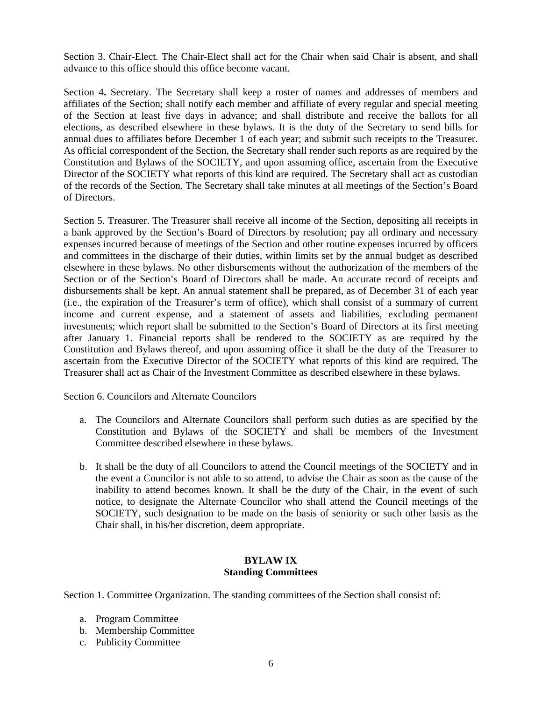Section 3. Chair-Elect. The Chair-Elect shall act for the Chair when said Chair is absent, and shall advance to this office should this office become vacant.

Section 4**.** Secretary. The Secretary shall keep a roster of names and addresses of members and affiliates of the Section; shall notify each member and affiliate of every regular and special meeting of the Section at least five days in advance; and shall distribute and receive the ballots for all elections, as described elsewhere in these bylaws. It is the duty of the Secretary to send bills for annual dues to affiliates before December 1 of each year; and submit such receipts to the Treasurer. As official correspondent of the Section, the Secretary shall render such reports as are required by the Constitution and Bylaws of the SOCIETY, and upon assuming office, ascertain from the Executive Director of the SOCIETY what reports of this kind are required. The Secretary shall act as custodian of the records of the Section. The Secretary shall take minutes at all meetings of the Section's Board of Directors.

Section 5. Treasurer. The Treasurer shall receive all income of the Section, depositing all receipts in a bank approved by the Section's Board of Directors by resolution; pay all ordinary and necessary expenses incurred because of meetings of the Section and other routine expenses incurred by officers and committees in the discharge of their duties, within limits set by the annual budget as described elsewhere in these bylaws. No other disbursements without the authorization of the members of the Section or of the Section's Board of Directors shall be made. An accurate record of receipts and disbursements shall be kept. An annual statement shall be prepared, as of December 31 of each year (i.e., the expiration of the Treasurer's term of office), which shall consist of a summary of current income and current expense, and a statement of assets and liabilities, excluding permanent investments; which report shall be submitted to the Section's Board of Directors at its first meeting after January 1. Financial reports shall be rendered to the SOCIETY as are required by the Constitution and Bylaws thereof, and upon assuming office it shall be the duty of the Treasurer to ascertain from the Executive Director of the SOCIETY what reports of this kind are required. The Treasurer shall act as Chair of the Investment Committee as described elsewhere in these bylaws.

Section 6. Councilors and Alternate Councilors

- a. The Councilors and Alternate Councilors shall perform such duties as are specified by the Constitution and Bylaws of the SOCIETY and shall be members of the Investment Committee described elsewhere in these bylaws.
- b. It shall be the duty of all Councilors to attend the Council meetings of the SOCIETY and in the event a Councilor is not able to so attend, to advise the Chair as soon as the cause of the inability to attend becomes known. It shall be the duty of the Chair, in the event of such notice, to designate the Alternate Councilor who shall attend the Council meetings of the SOCIETY, such designation to be made on the basis of seniority or such other basis as the Chair shall, in his/her discretion, deem appropriate.

## **BYLAW IX Standing Committees**

Section 1. Committee Organization. The standing committees of the Section shall consist of:

- a. Program Committee
- b. Membership Committee
- c. Publicity Committee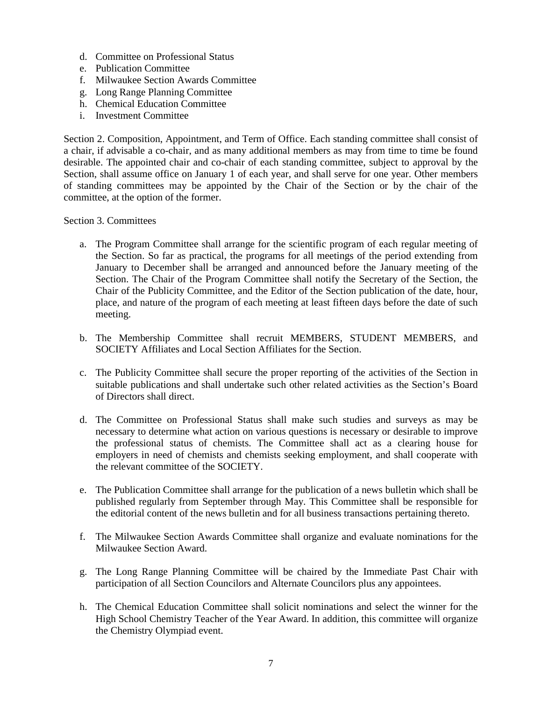- d. Committee on Professional Status
- e. Publication Committee
- f. Milwaukee Section Awards Committee
- g. Long Range Planning Committee
- h. Chemical Education Committee
- i. Investment Committee

Section 2. Composition, Appointment, and Term of Office. Each standing committee shall consist of a chair, if advisable a co-chair, and as many additional members as may from time to time be found desirable. The appointed chair and co-chair of each standing committee, subject to approval by the Section, shall assume office on January 1 of each year, and shall serve for one year. Other members of standing committees may be appointed by the Chair of the Section or by the chair of the committee, at the option of the former.

#### Section 3. Committees

- a. The Program Committee shall arrange for the scientific program of each regular meeting of the Section. So far as practical, the programs for all meetings of the period extending from January to December shall be arranged and announced before the January meeting of the Section. The Chair of the Program Committee shall notify the Secretary of the Section, the Chair of the Publicity Committee, and the Editor of the Section publication of the date, hour, place, and nature of the program of each meeting at least fifteen days before the date of such meeting.
- b. The Membership Committee shall recruit MEMBERS, STUDENT MEMBERS, and SOCIETY Affiliates and Local Section Affiliates for the Section.
- c. The Publicity Committee shall secure the proper reporting of the activities of the Section in suitable publications and shall undertake such other related activities as the Section's Board of Directors shall direct.
- d. The Committee on Professional Status shall make such studies and surveys as may be necessary to determine what action on various questions is necessary or desirable to improve the professional status of chemists. The Committee shall act as a clearing house for employers in need of chemists and chemists seeking employment, and shall cooperate with the relevant committee of the SOCIETY.
- e. The Publication Committee shall arrange for the publication of a news bulletin which shall be published regularly from September through May. This Committee shall be responsible for the editorial content of the news bulletin and for all business transactions pertaining thereto.
- f. The Milwaukee Section Awards Committee shall organize and evaluate nominations for the Milwaukee Section Award.
- g. The Long Range Planning Committee will be chaired by the Immediate Past Chair with participation of all Section Councilors and Alternate Councilors plus any appointees.
- h. The Chemical Education Committee shall solicit nominations and select the winner for the High School Chemistry Teacher of the Year Award. In addition, this committee will organize the Chemistry Olympiad event.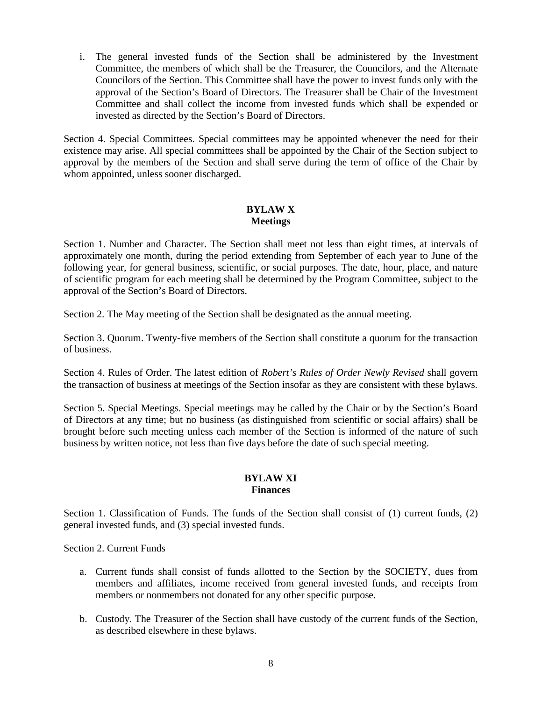i. The general invested funds of the Section shall be administered by the Investment Committee, the members of which shall be the Treasurer, the Councilors, and the Alternate Councilors of the Section. This Committee shall have the power to invest funds only with the approval of the Section's Board of Directors. The Treasurer shall be Chair of the Investment Committee and shall collect the income from invested funds which shall be expended or invested as directed by the Section's Board of Directors.

Section 4. Special Committees. Special committees may be appointed whenever the need for their existence may arise. All special committees shall be appointed by the Chair of the Section subject to approval by the members of the Section and shall serve during the term of office of the Chair by whom appointed, unless sooner discharged.

# **BYLAW X Meetings**

Section 1. Number and Character. The Section shall meet not less than eight times, at intervals of approximately one month, during the period extending from September of each year to June of the following year, for general business, scientific, or social purposes. The date, hour, place, and nature of scientific program for each meeting shall be determined by the Program Committee, subject to the approval of the Section's Board of Directors.

Section 2. The May meeting of the Section shall be designated as the annual meeting.

Section 3. Quorum. Twenty-five members of the Section shall constitute a quorum for the transaction of business.

Section 4. Rules of Order. The latest edition of *Robert's Rules of Order Newly Revised* shall govern the transaction of business at meetings of the Section insofar as they are consistent with these bylaws.

Section 5. Special Meetings. Special meetings may be called by the Chair or by the Section's Board of Directors at any time; but no business (as distinguished from scientific or social affairs) shall be brought before such meeting unless each member of the Section is informed of the nature of such business by written notice, not less than five days before the date of such special meeting.

## **BYLAW XI Finances**

Section 1. Classification of Funds. The funds of the Section shall consist of (1) current funds, (2) general invested funds, and (3) special invested funds.

Section 2. Current Funds

- a. Current funds shall consist of funds allotted to the Section by the SOCIETY, dues from members and affiliates, income received from general invested funds, and receipts from members or nonmembers not donated for any other specific purpose.
- b. Custody. The Treasurer of the Section shall have custody of the current funds of the Section, as described elsewhere in these bylaws.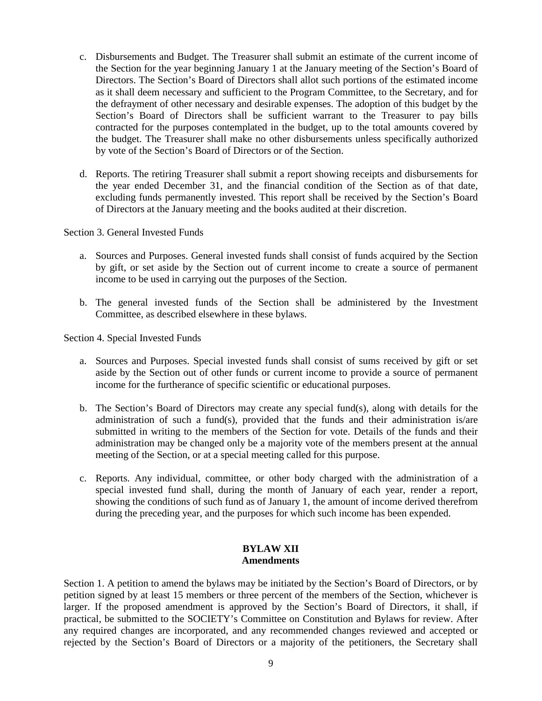- c. Disbursements and Budget. The Treasurer shall submit an estimate of the current income of the Section for the year beginning January 1 at the January meeting of the Section's Board of Directors. The Section's Board of Directors shall allot such portions of the estimated income as it shall deem necessary and sufficient to the Program Committee, to the Secretary, and for the defrayment of other necessary and desirable expenses. The adoption of this budget by the Section's Board of Directors shall be sufficient warrant to the Treasurer to pay bills contracted for the purposes contemplated in the budget, up to the total amounts covered by the budget. The Treasurer shall make no other disbursements unless specifically authorized by vote of the Section's Board of Directors or of the Section.
- d. Reports. The retiring Treasurer shall submit a report showing receipts and disbursements for the year ended December 31, and the financial condition of the Section as of that date, excluding funds permanently invested. This report shall be received by the Section's Board of Directors at the January meeting and the books audited at their discretion.

Section 3. General Invested Funds

- a. Sources and Purposes. General invested funds shall consist of funds acquired by the Section by gift, or set aside by the Section out of current income to create a source of permanent income to be used in carrying out the purposes of the Section.
- b. The general invested funds of the Section shall be administered by the Investment Committee, as described elsewhere in these bylaws.

Section 4. Special Invested Funds

- a. Sources and Purposes. Special invested funds shall consist of sums received by gift or set aside by the Section out of other funds or current income to provide a source of permanent income for the furtherance of specific scientific or educational purposes.
- b. The Section's Board of Directors may create any special fund(s), along with details for the administration of such a fund(s), provided that the funds and their administration is/are submitted in writing to the members of the Section for vote. Details of the funds and their administration may be changed only be a majority vote of the members present at the annual meeting of the Section, or at a special meeting called for this purpose.
- c. Reports. Any individual, committee, or other body charged with the administration of a special invested fund shall, during the month of January of each year, render a report, showing the conditions of such fund as of January 1, the amount of income derived therefrom during the preceding year, and the purposes for which such income has been expended.

## **BYLAW XII Amendments**

Section 1. A petition to amend the bylaws may be initiated by the Section's Board of Directors, or by petition signed by at least 15 members or three percent of the members of the Section, whichever is larger. If the proposed amendment is approved by the Section's Board of Directors, it shall, if practical, be submitted to the SOCIETY's Committee on Constitution and Bylaws for review. After any required changes are incorporated, and any recommended changes reviewed and accepted or rejected by the Section's Board of Directors or a majority of the petitioners, the Secretary shall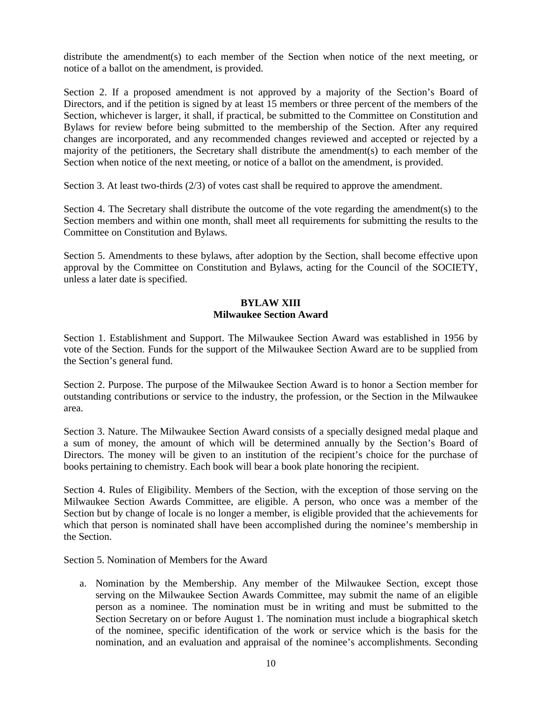distribute the amendment(s) to each member of the Section when notice of the next meeting, or notice of a ballot on the amendment, is provided.

Section 2. If a proposed amendment is not approved by a majority of the Section's Board of Directors, and if the petition is signed by at least 15 members or three percent of the members of the Section, whichever is larger, it shall, if practical, be submitted to the Committee on Constitution and Bylaws for review before being submitted to the membership of the Section. After any required changes are incorporated, and any recommended changes reviewed and accepted or rejected by a majority of the petitioners, the Secretary shall distribute the amendment(s) to each member of the Section when notice of the next meeting, or notice of a ballot on the amendment, is provided.

Section 3. At least two-thirds (2/3) of votes cast shall be required to approve the amendment.

Section 4. The Secretary shall distribute the outcome of the vote regarding the amendment(s) to the Section members and within one month, shall meet all requirements for submitting the results to the Committee on Constitution and Bylaws.

Section 5. Amendments to these bylaws, after adoption by the Section, shall become effective upon approval by the Committee on Constitution and Bylaws, acting for the Council of the SOCIETY, unless a later date is specified.

## **BYLAW XIII Milwaukee Section Award**

Section 1. Establishment and Support. The Milwaukee Section Award was established in 1956 by vote of the Section. Funds for the support of the Milwaukee Section Award are to be supplied from the Section's general fund.

Section 2. Purpose. The purpose of the Milwaukee Section Award is to honor a Section member for outstanding contributions or service to the industry, the profession, or the Section in the Milwaukee area.

Section 3. Nature. The Milwaukee Section Award consists of a specially designed medal plaque and a sum of money, the amount of which will be determined annually by the Section's Board of Directors. The money will be given to an institution of the recipient's choice for the purchase of books pertaining to chemistry. Each book will bear a book plate honoring the recipient.

Section 4. Rules of Eligibility. Members of the Section, with the exception of those serving on the Milwaukee Section Awards Committee, are eligible. A person, who once was a member of the Section but by change of locale is no longer a member, is eligible provided that the achievements for which that person is nominated shall have been accomplished during the nominee's membership in the Section.

Section 5. Nomination of Members for the Award

a. Nomination by the Membership. Any member of the Milwaukee Section, except those serving on the Milwaukee Section Awards Committee, may submit the name of an eligible person as a nominee. The nomination must be in writing and must be submitted to the Section Secretary on or before August 1. The nomination must include a biographical sketch of the nominee, specific identification of the work or service which is the basis for the nomination, and an evaluation and appraisal of the nominee's accomplishments. Seconding